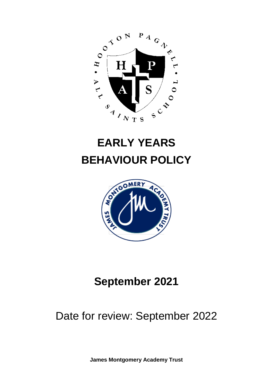

# **EARLY YEARS BEHAVIOUR POLICY**



# **September 2021**

# Date for review: September 2022

**James Montgomery Academy Trust**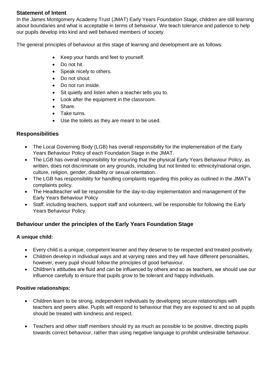#### **Statement of Intent**

In the James Montgomery Academy Trust (JMAT) Early Years Foundation Stage, children are still learning about boundaries and what is acceptable in terms of behaviour. We teach tolerance and patience to help our pupils develop into kind and well behaved members of society.

The general principles of behaviour at this stage of learning and development are as follows:

- Keep your hands and feet to yourself.
- Do not hit.
- Speak nicely to others.
- Do not shout.
- Do not run inside.
- Sit quietly and listen when a teacher tells you to.
- Look after the equipment in the classroom.
- Share.
- Take turns.
- Use the toilets as they are meant to be used.

### **Responsibilities**

- The Local Governing Body (LGB) has overall responsibility for the implementation of the Early Years Behaviour Policy of each Foundation Stage in the JMAT.
- The LGB has overall responsibility for ensuring that the physical Early Years Behaviour Policy, as written, does not discriminate on any grounds, including but not limited to: ethnicity/national origin, culture, religion, gender, disability or sexual orientation.
- The LGB has responsibility for handling complaints regarding this policy as outlined in the JMAT's complaints policy.
- The Headteacher will be responsible for the day-to-day implementation and management of the Early Years Behaviour Policy
- Staff, including teachers, support staff and volunteers, will be responsible for following the Early Years Behaviour Policy.

### **Behaviour under the principles of the Early Years Foundation Stage**

#### **A unique child:**

- Every child is a unique, competent learner and they deserve to be respected and treated positively.
- Children develop in individual ways and at varying rates and they will have different personalities, however, every pupil should follow the principles of good behaviour.
- Children's attitudes are fluid and can be influenced by others and so as teachers, we should use our influence carefully to ensure that pupils grow to be tolerant and happy individuals.

#### **Positive relationships:**

- Children learn to be strong, independent individuals by developing secure relationships with teachers and peers alike. Pupils will respond to behaviour that they are exposed to and so all pupils should be treated with kindness and respect.
- Teachers and other staff members should try as much as possible to be positive, directing pupils towards correct behaviour, rather than using negative language to prohibit undesirable behaviour.